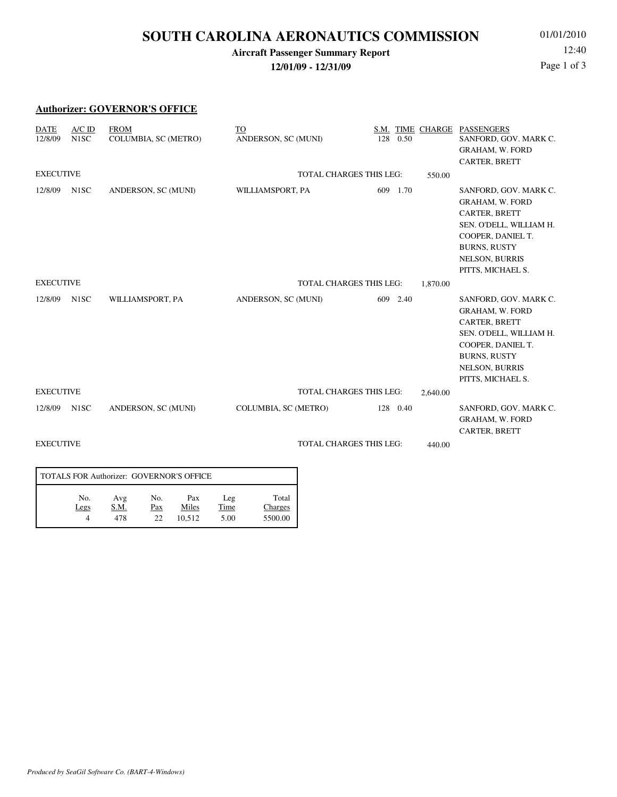## **SOUTH CAROLINA AERONAUTICS COMMISSION**

### **Aircraft Passenger Summary Report**

**12/01/09 - 12/31/09**

01/01/2010 12:40 Page 1 of 3

#### **Authorizer: GOVERNOR'S OFFICE**

| <b>DATE</b><br>12/8/09<br><b>EXECUTIVE</b> | $A/C$ ID<br>N <sub>1</sub> SC | <b>FROM</b><br>COLUMBIA, SC (METRO) | TO<br>ANDERSON, SC (MUNI)<br><b>TOTAL CHARGES THIS LEG:</b> | TIME<br>S.M.<br>0.50<br>128 | CHARGE<br>550.00 | <b>PASSENGERS</b><br>SANFORD, GOV. MARK C.<br><b>GRAHAM, W. FORD</b><br>CARTER, BRETT                                                                                                        |
|--------------------------------------------|-------------------------------|-------------------------------------|-------------------------------------------------------------|-----------------------------|------------------|----------------------------------------------------------------------------------------------------------------------------------------------------------------------------------------------|
| 12/8/09                                    | N <sub>1</sub> SC             | ANDERSON, SC (MUNI)                 | WILLIAMSPORT, PA                                            | 609 1.70                    |                  | SANFORD, GOV. MARK C.<br><b>GRAHAM, W. FORD</b><br><b>CARTER, BRETT</b><br>SEN. O'DELL, WILLIAM H.<br>COOPER, DANIEL T.<br><b>BURNS, RUSTY</b><br><b>NELSON, BURRIS</b><br>PITTS, MICHAEL S. |
| <b>EXECUTIVE</b>                           |                               |                                     | TOTAL CHARGES THIS LEG:<br>1,870.00                         |                             |                  |                                                                                                                                                                                              |
| 12/8/09                                    | N <sub>1</sub> SC             | WILLIAMSPORT, PA                    | ANDERSON, SC (MUNI)                                         | 609<br>2.40                 |                  | SANFORD, GOV. MARK C.<br><b>GRAHAM, W. FORD</b><br><b>CARTER, BRETT</b><br>SEN. O'DELL, WILLIAM H.<br>COOPER, DANIEL T.<br><b>BURNS, RUSTY</b><br><b>NELSON, BURRIS</b><br>PITTS, MICHAEL S. |
| <b>EXECUTIVE</b>                           |                               |                                     | TOTAL CHARGES THIS LEG:                                     |                             | 2,640.00         |                                                                                                                                                                                              |
| 12/8/09                                    | N <sub>1</sub> SC             | ANDERSON, SC (MUNI)                 | <b>COLUMBIA, SC (METRO)</b>                                 | 128 0.40                    |                  | SANFORD, GOV. MARK C.<br><b>GRAHAM, W. FORD</b><br><b>CARTER, BRETT</b>                                                                                                                      |

EXECUTIVE TOTAL CHARGES THIS LEG: 440.00

| TOTALS FOR Authorizer: GOVERNOR'S OFFICE |             |             |            |              |             |                  |  |  |  |  |
|------------------------------------------|-------------|-------------|------------|--------------|-------------|------------------|--|--|--|--|
|                                          | No.<br>Legs | Avg<br>S.M. | No.<br>Pax | Pax<br>Miles | Leg<br>Time | Total<br>Charges |  |  |  |  |
|                                          |             | 478         | 22         | 10.512       | 5.00        | 5500.00          |  |  |  |  |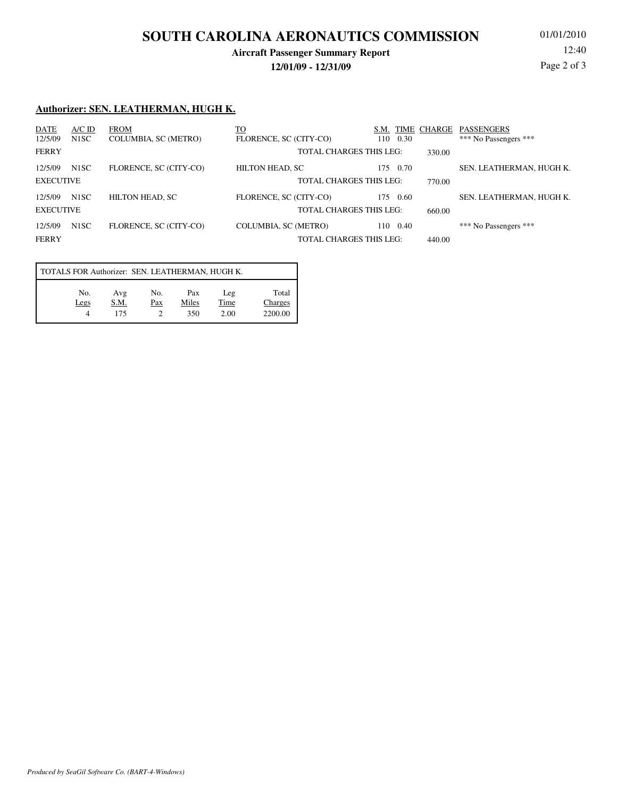## **SOUTH CAROLINA AERONAUTICS COMMISSION**

### **Aircraft Passenger Summary Report**

**12/01/09 - 12/31/09**

01/01/2010 12:40 Page 2 of 3

#### **Authorizer: SEN. LEATHERMAN, HUGH K.**

| <b>DATE</b><br>12/5/09 | $A/C$ ID<br>N <sub>1</sub> SC | <b>FROM</b><br>COLUMBIA, SC (METRO) | TO<br>FLORENCE, SC (CITY-CO)   | TIME CHARGE<br>S.M.<br>0.30<br>110 |        | PASSENGERS<br>*** No Passengers *** |
|------------------------|-------------------------------|-------------------------------------|--------------------------------|------------------------------------|--------|-------------------------------------|
| <b>FERRY</b>           |                               |                                     | TOTAL CHARGES THIS LEG:        |                                    | 330.00 |                                     |
| 12/5/09                | N <sub>1</sub> SC             | FLORENCE, SC (CITY-CO)              | <b>HILTON HEAD, SC</b>         | 175<br>0.70                        |        | SEN. LEATHERMAN, HUGH K.            |
| <b>EXECUTIVE</b>       |                               |                                     | TOTAL CHARGES THIS LEG:        |                                    | 770.00 |                                     |
| 12/5/09                | N <sub>1</sub> SC             | HILTON HEAD, SC                     | FLORENCE, SC (CITY-CO)         | 0.60<br>175                        |        | SEN. LEATHERMAN, HUGH K.            |
| <b>EXECUTIVE</b>       |                               |                                     | <b>TOTAL CHARGES THIS LEG:</b> |                                    | 660.00 |                                     |
| 12/5/09                | N <sub>1</sub> SC             | FLORENCE, SC (CITY-CO)              | <b>COLUMBIA, SC (METRO)</b>    | 0.40<br>110                        |        | *** No Passengers ***               |
| <b>FERRY</b>           |                               |                                     | <b>TOTAL CHARGES THIS LEG:</b> |                                    | 440.00 |                                     |

| TOTALS FOR Authorizer: SEN. LEATHERMAN, HUGH K. |                    |            |                     |                     |                             |  |  |  |  |
|-------------------------------------------------|--------------------|------------|---------------------|---------------------|-----------------------------|--|--|--|--|
| No.<br>Legs<br>$\Lambda$                        | Avg<br>S.M.<br>175 | No.<br>Pax | Pax<br>Miles<br>350 | Leg<br>Time<br>2.00 | Total<br>Charges<br>2200.00 |  |  |  |  |